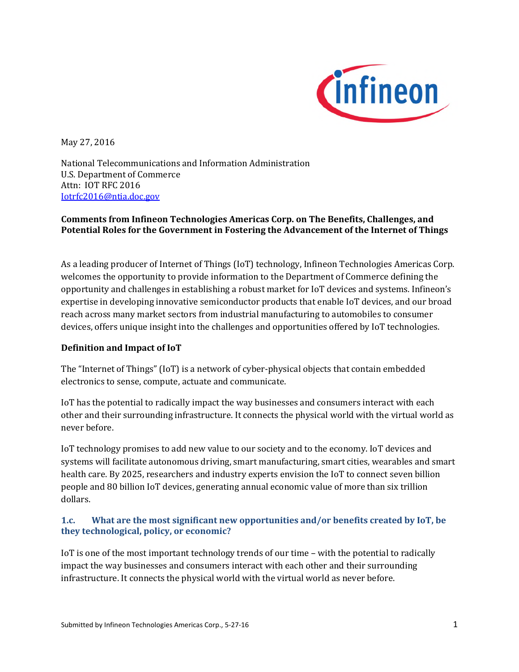

May 27, 2016

National Telecommunications and Information Administration U.S. Department of Commerce Attn: IOT RFC 2016 Iotrfc2016@ntia.doc.gov

## **Comments from Infineon Technologies Americas Corp. on The Benefits, Challenges, and Potential Roles for the Government in Fostering the Advancement of the Internet of Things**

As a leading producer of Internet of Things (IoT) technology, Infineon Technologies Americas Corp. welcomes the opportunity to provide information to the Department of Commerce defining the opportunity and challenges in establishing a robust market for IoT devices and systems. Infineon's expertise in developing innovative semiconductor products that enable IoT devices, and our broad reach across many market sectors from industrial manufacturing to automobiles to consumer devices, offers unique insight into the challenges and opportunities offered by IoT technologies.

### **Definition and Impact of IoT**

The "Internet of Things" (IoT) is a network of cyber-physical objects that contain embedded electronics to sense, compute, actuate and communicate.

IoT has the potential to radically impact the way businesses and consumers interact with each other and their surrounding infrastructure. It connects the physical world with the virtual world as never before.

IoT technology promises to add new value to our society and to the economy. IoT devices and systems will facilitate autonomous driving, smart manufacturing, smart cities, wearables and smart health care. By 2025, researchers and industry experts envision the IoT to connect seven billion people and 80 billion IoT devices, generating annual economic value of more than six trillion dollars.

## **1.c. What are the most significant new opportunities and/or benefits created by IoT, be they technological, policy, or economic?**

IoT is one of the most important technology trends of our time – with the potential to radically impact the way businesses and consumers interact with each other and their surrounding infrastructure. It connects the physical world with the virtual world as never before.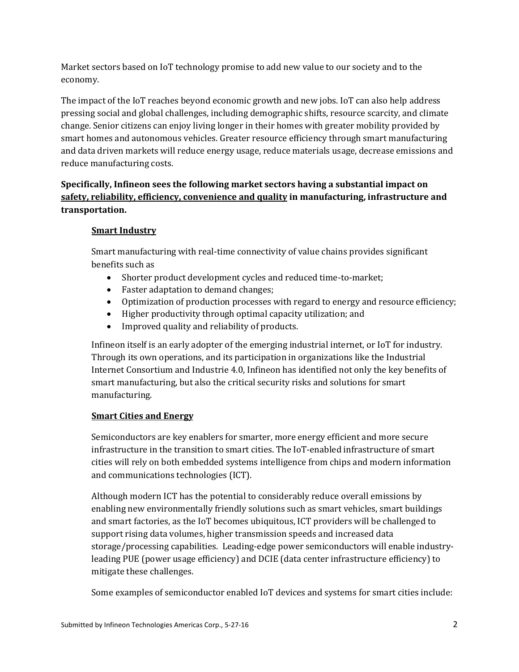Market sectors based on IoT technology promise to add new value to our society and to the economy.

The impact of the IoT reaches beyond economic growth and new jobs. IoT can also help address pressing social and global challenges, including demographic shifts, resource scarcity, and climate change. Senior citizens can enjoy living longer in their homes with greater mobility provided by smart homes and autonomous vehicles. Greater resource efficiency through smart manufacturing and data driven markets will reduce energy usage, reduce materials usage, decrease emissions and reduce manufacturing costs.

# **Specifically, Infineon sees the following market sectors having a substantial impact on safety, reliability, efficiency, convenience and quality in manufacturing, infrastructure and transportation.**

## **Smart Industry**

Smart manufacturing with real-time connectivity of value chains provides significant benefits such as

- Shorter product development cycles and reduced time-to-market;
- Faster adaptation to demand changes;
- Optimization of production processes with regard to energy and resource efficiency;
- Higher productivity through optimal capacity utilization; and
- Improved quality and reliability of products.

Infineon itself is an early adopter of the emerging industrial internet, or IoT for industry. Through its own operations, and its participation in organizations like the Industrial Internet Consortium and Industrie 4.0, Infineon has identified not only the key benefits of smart manufacturing, but also the critical security risks and solutions for smart manufacturing.

## **Smart Cities and Energy**

Semiconductors are key enablers for smarter, more energy efficient and more secure infrastructure in the transition to smart cities. The IoT-enabled infrastructure of smart cities will rely on both embedded systems intelligence from chips and modern information and communications technologies (ICT).

Although modern ICT has the potential to considerably reduce overall emissions by enabling new environmentally friendly solutions such as smart vehicles, smart buildings and smart factories, as the IoT becomes ubiquitous, ICT providers will be challenged to support rising data volumes, higher transmission speeds and increased data storage/processing capabilities. Leading-edge power semiconductors will enable industryleading PUE (power usage efficiency) and DCIE (data center infrastructure efficiency) to mitigate these challenges.

Some examples of semiconductor enabled IoT devices and systems for smart cities include: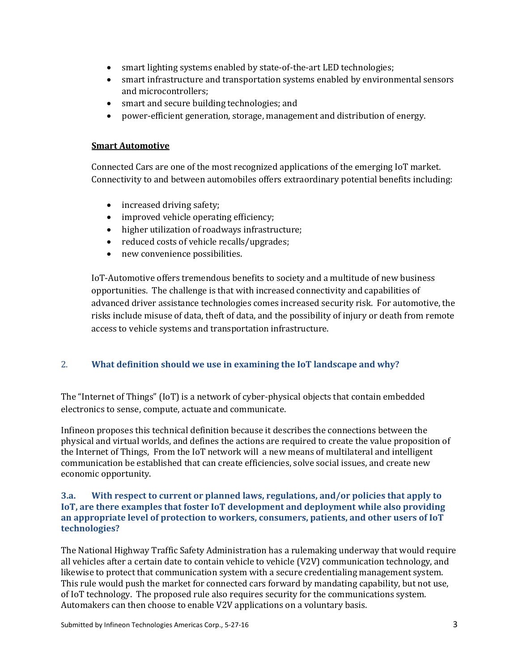- smart lighting systems enabled by state-of-the-art LED technologies;
- smart infrastructure and transportation systems enabled by environmental sensors and microcontrollers;
- smart and secure building technologies; and
- power-efficient generation, storage, management and distribution of energy.

#### **Smart Automotive**

Connected Cars are one of the most recognized applications of the emerging IoT market. Connectivity to and between automobiles offers extraordinary potential benefits including:

- increased driving safety;
- improved vehicle operating efficiency;
- higher utilization of roadways infrastructure;
- reduced costs of vehicle recalls/upgrades;
- new convenience possibilities.

IoT-Automotive offers tremendous benefits to society and a multitude of new business opportunities. The challenge is that with increased connectivity and capabilities of advanced driver assistance technologies comes increased security risk. For automotive, the risks include misuse of data, theft of data, and the possibility of injury or death from remote access to vehicle systems and transportation infrastructure.

### 2. **What definition should we use in examining the IoT landscape and why?**

The "Internet of Things" (IoT) is a network of cyber-physical objects that contain embedded electronics to sense, compute, actuate and communicate.

Infineon proposes this technical definition because it describes the connections between the physical and virtual worlds, and defines the actions are required to create the value proposition of the Internet of Things, From the IoT network will a new means of multilateral and intelligent communication be established that can create efficiencies, solve social issues, and create new economic opportunity.

#### **3.a. With respect to current or planned laws, regulations, and/or policies that apply to IoT, are there examples that foster IoT development and deployment while also providing an appropriate level of protection to workers, consumers, patients, and other users of IoT technologies?**

The National Highway Traffic Safety Administration has a rulemaking underway that would require all vehicles after a certain date to contain vehicle to vehicle (V2V) communication technology, and likewise to protect that communication system with a secure credentialing management system. This rule would push the market for connected cars forward by mandating capability, but not use, of IoT technology. The proposed rule also requires security for the communications system. Automakers can then choose to enable V2V applications on a voluntary basis.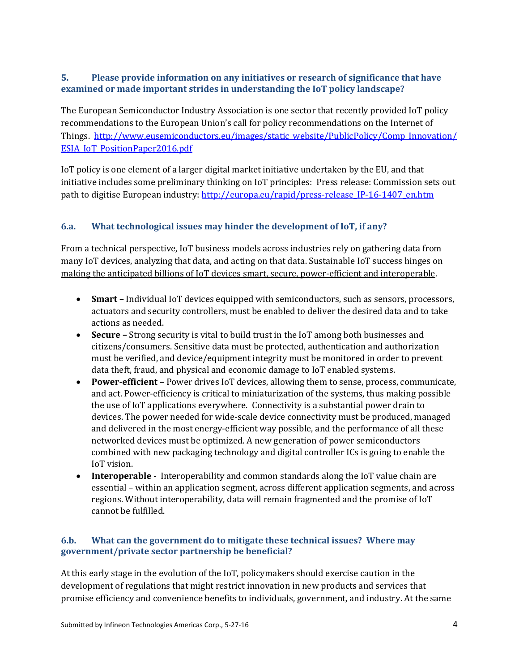## **5. Please provide information on any initiatives or research of significance that have examined or made important strides in understanding the IoT policy landscape?**

The European Semiconductor Industry Association is one sector that recently provided IoT policy recommendations to the European Union's call for policy recommendations on the Internet of Things. http://www.eusemiconductors.eu/images/static\_website/PublicPolicy/Comp\_Innovation/ ESIA\_IoT\_PositionPaper2016.pdf

IoT policy is one element of a larger digital market initiative undertaken by the EU, and that initiative includes some preliminary thinking on IoT principles: Press release: Commission sets out path to digitise European industry: http://europa.eu/rapid/press-release\_IP-16-1407\_en.htm

## **6.a. What technological issues may hinder the development of IoT, if any?**

From a technical perspective, IoT business models across industries rely on gathering data from many IoT devices, analyzing that data, and acting on that data. Sustainable IoT success hinges on making the anticipated billions of IoT devices smart, secure, power-efficient and interoperable.

- **Smart –** Individual IoT devices equipped with semiconductors, such as sensors, processors, actuators and security controllers, must be enabled to deliver the desired data and to take actions as needed.
- **Secure –** Strong security is vital to build trust in the IoT among both businesses and citizens/consumers. Sensitive data must be protected, authentication and authorization must be verified, and device/equipment integrity must be monitored in order to prevent data theft, fraud, and physical and economic damage to IoT enabled systems.
- **Power-efficient –** Power drives IoT devices, allowing them to sense, process, communicate, and act. Power-efficiency is critical to miniaturization of the systems, thus making possible the use of IoT applications everywhere. Connectivity is a substantial power drain to devices. The power needed for wide-scale device connectivity must be produced, managed and delivered in the most energy-efficient way possible, and the performance of all these networked devices must be optimized. A new generation of power semiconductors combined with new packaging technology and digital controller ICs is going to enable the IoT vision.
- **Interoperable -** Interoperability and common standards along the IoT value chain are essential – within an application segment, across different application segments, and across regions. Without interoperability, data will remain fragmented and the promise of IoT cannot be fulfilled.

### **6.b. What can the government do to mitigate these technical issues? Where may government/private sector partnership be beneficial?**

At this early stage in the evolution of the IoT, policymakers should exercise caution in the development of regulations that might restrict innovation in new products and services that promise efficiency and convenience benefits to individuals, government, and industry. At the same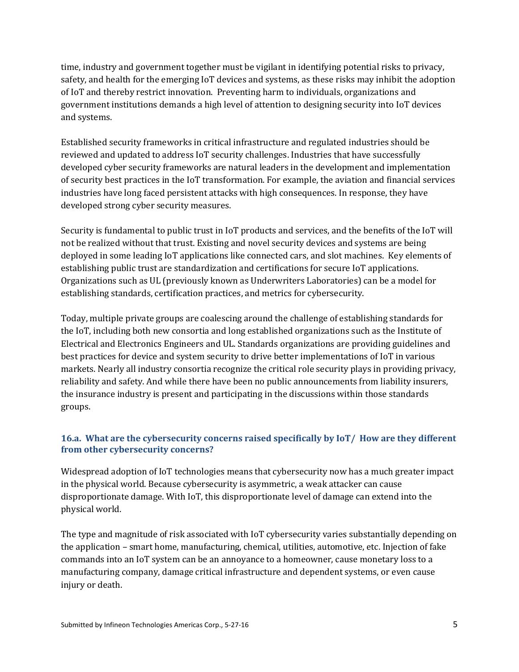time, industry and government together must be vigilant in identifying potential risks to privacy, safety, and health for the emerging IoT devices and systems, as these risks may inhibit the adoption of IoT and thereby restrict innovation. Preventing harm to individuals, organizations and government institutions demands a high level of attention to designing security into IoT devices and systems.

Established security frameworks in critical infrastructure and regulated industries should be reviewed and updated to address IoT security challenges. Industries that have successfully developed cyber security frameworks are natural leaders in the development and implementation of security best practices in the IoT transformation. For example, the aviation and financial services industries have long faced persistent attacks with high consequences. In response, they have developed strong cyber security measures.

Security is fundamental to public trust in IoT products and services, and the benefits of the IoT will not be realized without that trust. Existing and novel security devices and systems are being deployed in some leading IoT applications like connected cars, and slot machines. Key elements of establishing public trust are standardization and certifications for secure IoT applications. Organizations such as UL (previously known as Underwriters Laboratories) can be a model for establishing standards, certification practices, and metrics for cybersecurity.

Today, multiple private groups are coalescing around the challenge of establishing standards for the IoT, including both new consortia and long established organizations such as the Institute of Electrical and Electronics Engineers and UL. Standards organizations are providing guidelines and best practices for device and system security to drive better implementations of IoT in various markets. Nearly all industry consortia recognize the critical role security plays in providing privacy, reliability and safety. And while there have been no public announcements from liability insurers, the insurance industry is present and participating in the discussions within those standards groups.

## **16.a. What are the cybersecurity concerns raised specifically by IoT/ How are they different from other cybersecurity concerns?**

Widespread adoption of IoT technologies means that cybersecurity now has a much greater impact in the physical world. Because cybersecurity is asymmetric, a weak attacker can cause disproportionate damage. With IoT, this disproportionate level of damage can extend into the physical world.

The type and magnitude of risk associated with IoT cybersecurity varies substantially depending on the application – smart home, manufacturing, chemical, utilities, automotive, etc. Injection of fake commands into an IoT system can be an annoyance to a homeowner, cause monetary loss to a manufacturing company, damage critical infrastructure and dependent systems, or even cause injury or death.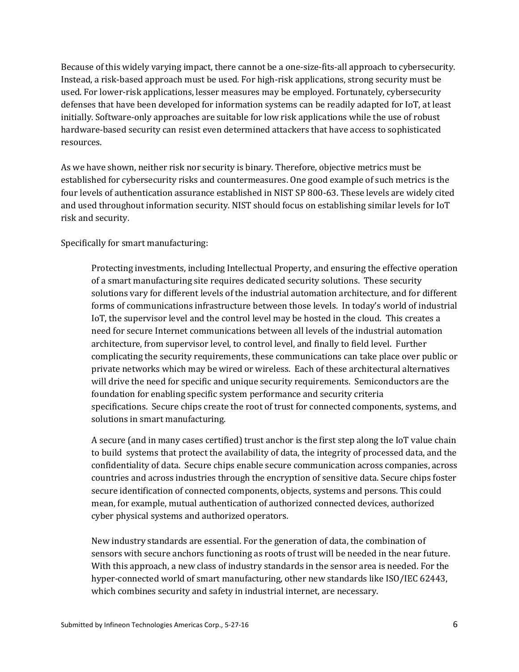Because of this widely varying impact, there cannot be a one-size-fits-all approach to cybersecurity. Instead, a risk-based approach must be used. For high-risk applications, strong security must be used. For lower-risk applications, lesser measures may be employed. Fortunately, cybersecurity defenses that have been developed for information systems can be readily adapted for IoT, at least initially. Software-only approaches are suitable for low risk applications while the use of robust hardware-based security can resist even determined attackers that have access to sophisticated resources.

As we have shown, neither risk nor security is binary. Therefore, objective metrics must be established for cybersecurity risks and countermeasures. One good example of such metrics is the four levels of authentication assurance established in NIST SP 800-63. These levels are widely cited and used throughout information security. NIST should focus on establishing similar levels for IoT risk and security.

#### Specifically for smart manufacturing:

Protecting investments, including Intellectual Property, and ensuring the effective operation of a smart manufacturing site requires dedicated security solutions. These security solutions vary for different levels of the industrial automation architecture, and for different forms of communications infrastructure between those levels. In today's world of industrial IoT, the supervisor level and the control level may be hosted in the cloud. This creates a need for secure Internet communications between all levels of the industrial automation architecture, from supervisor level, to control level, and finally to field level. Further complicating the security requirements, these communications can take place over public or private networks which may be wired or wireless. Each of these architectural alternatives will drive the need for specific and unique security requirements. Semiconductors are the foundation for enabling specific system performance and security criteria specifications. Secure chips create the root of trust for connected components, systems, and solutions in smart manufacturing.

A secure (and in many cases certified) trust anchor is the first step along the IoT value chain to build systems that protect the availability of data, the integrity of processed data, and the confidentiality of data. Secure chips enable secure communication across companies, across countries and across industries through the encryption of sensitive data. Secure chips foster secure identification of connected components, objects, systems and persons. This could mean, for example, mutual authentication of authorized connected devices, authorized cyber physical systems and authorized operators.

New industry standards are essential. For the generation of data, the combination of sensors with secure anchors functioning as roots of trust will be needed in the near future. With this approach, a new class of industry standards in the sensor area is needed. For the hyper-connected world of smart manufacturing, other new standards like ISO/IEC 62443, which combines security and safety in industrial internet, are necessary.